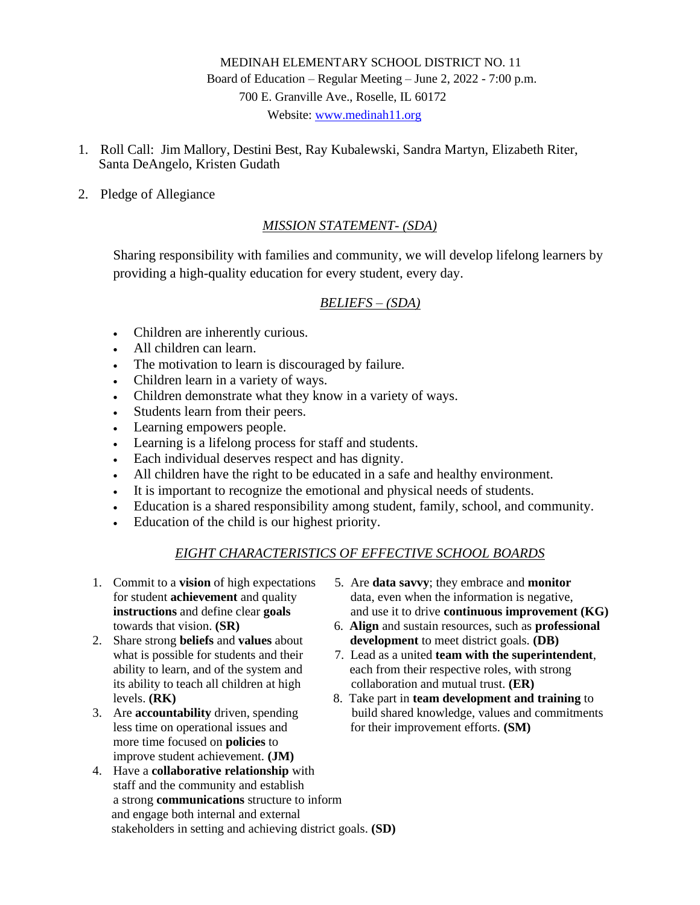# MEDINAH ELEMENTARY SCHOOL DISTRICT NO. 11 Board of Education – Regular Meeting – June 2, 2022 - 7:00 p.m. 700 E. Granville Ave., Roselle, IL 60172 Website: [www.medinah11.org](http://www.medinah11.org/)

- 1. Roll Call: Jim Mallory, Destini Best, Ray Kubalewski, Sandra Martyn, Elizabeth Riter, Santa DeAngelo, Kristen Gudath
- 2. Pledge of Allegiance

# *MISSION STATEMENT- (SDA)*

Sharing responsibility with families and community, we will develop lifelong learners by providing a high-quality education for every student, every day.

## *BELIEFS – (SDA)*

- Children are inherently curious.
- All children can learn.
- The motivation to learn is discouraged by failure.
- Children learn in a variety of ways.
- Children demonstrate what they know in a variety of ways.
- Students learn from their peers.
- Learning empowers people.
- Learning is a lifelong process for staff and students.
- Each individual deserves respect and has dignity.
- All children have the right to be educated in a safe and healthy environment.
- It is important to recognize the emotional and physical needs of students.
- Education is a shared responsibility among student, family, school, and community.
- Education of the child is our highest priority.

# *EIGHT CHARACTERISTICS OF EFFECTIVE SCHOOL BOARDS*

- 
- 
- more time focused on **policies** to improve student achievement. **(JM)**
- 4. Have a **collaborative relationship** with staff and the community and establish a strong **communications** structure to inform and engage both internal and external stakeholders in setting and achieving district goals. **(SD)**
- 1. Commit to a **vision** of high expectations 5. Are **data savvy**; they embrace and **monitor** for student **achievement** and quality data, even when the information is negative, **instructions** and define clear **goals** and use it to drive **continuous improvement (KG)**
- towards that vision. **(SR)** 6. **Align** and sustain resources, such as **professional** 2. Share strong **beliefs** and **values** about **development** to meet district goals. **(DB)**
	- what is possible for students and their  $\qquad$  7. Lead as a united **team with the superintendent**, ability to learn, and of the system and each from their respective roles, with strong its ability to teach all children at high collaboration and mutual trust. **(ER)**
- levels. **(RK)** 8. Take part in **team development and training** to 3. Are **accountability** driven, spending build shared knowledge, values and commitments less time on operational issues and for their improvement efforts. **(SM)**